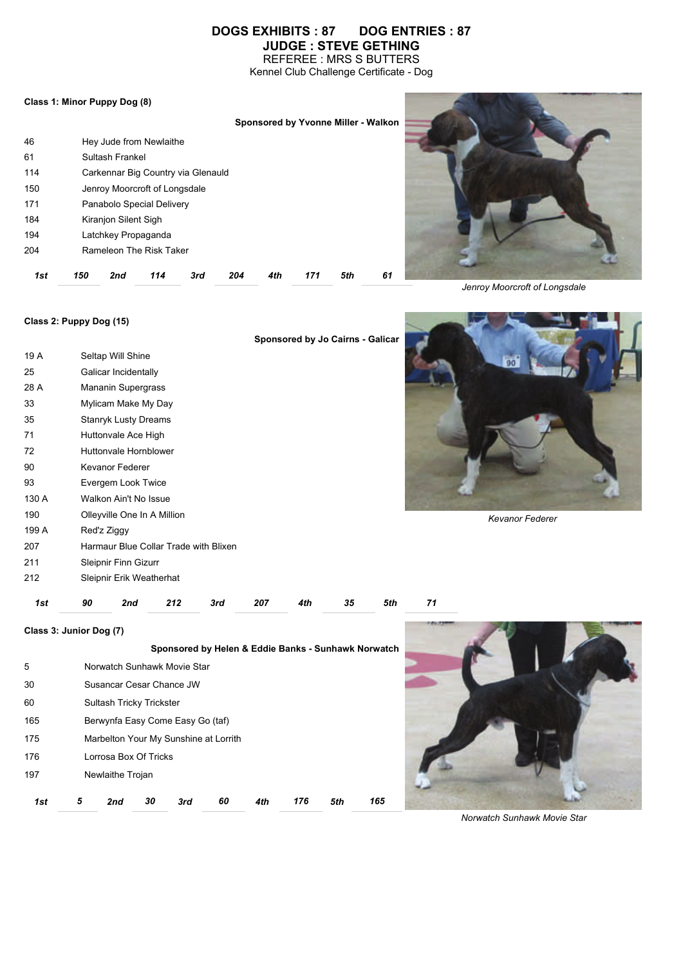# **DOGS EXHIBITS : 87 DOG ENTRIES : 87 JUDGE : STEVE GETHING**

REFEREE : MRS S BUTTERS Kennel Club Challenge Certificate - Dog

#### **Class 1: Minor Puppy Dog (8)**

|     |     |                      |                               |                                    |     |     |     | Sponsored by Yvonne Miller - Walkon |    |  |
|-----|-----|----------------------|-------------------------------|------------------------------------|-----|-----|-----|-------------------------------------|----|--|
| 46  |     |                      | Hey Jude from Newlaithe       |                                    |     |     |     |                                     |    |  |
| 61  |     | Sultash Frankel      |                               |                                    |     |     |     |                                     |    |  |
| 114 |     |                      |                               | Carkennar Big Country via Glenauld |     |     |     |                                     |    |  |
| 150 |     |                      | Jenroy Moorcroft of Longsdale |                                    |     |     |     |                                     |    |  |
| 171 |     |                      | Panabolo Special Delivery     |                                    |     |     |     |                                     |    |  |
| 184 |     | Kiranjon Silent Sigh |                               |                                    |     |     |     |                                     |    |  |
| 194 |     | Latchkey Propaganda  |                               |                                    |     |     |     |                                     |    |  |
| 204 |     |                      | Rameleon The Risk Taker       |                                    |     |     |     |                                     |    |  |
| 1st | 150 | 2nd                  | 114                           | 3rd                                | 204 | 4th | 171 | 5th                                 | 61 |  |



*Jenroy Moorcroft of Longsdale*

### **Class 2: Puppy Dog (15)**

197 Newlaithe Trojan

|       |                                       | Sponsored by Jo Cairns - Galicar                    |
|-------|---------------------------------------|-----------------------------------------------------|
| 19 A  | Seltap Will Shine                     | 90                                                  |
| 25    | Galicar Incidentally                  |                                                     |
| 28 A  | Mananin Supergrass                    |                                                     |
| 33    | Mylicam Make My Day                   |                                                     |
| 35    | <b>Stanryk Lusty Dreams</b>           |                                                     |
| 71    | Huttonvale Ace High                   |                                                     |
| 72    | Huttonvale Hornblower                 |                                                     |
| 90    | Kevanor Federer                       |                                                     |
| 93    | Evergem Look Twice                    |                                                     |
| 130 A | Walkon Ain't No Issue                 |                                                     |
| 190   | Olleyville One In A Million           | <b>Kevanor Federer</b>                              |
| 199 A | Red'z Ziggy                           |                                                     |
| 207   | Harmaur Blue Collar Trade with Blixen |                                                     |
| 211   | Sleipnir Finn Gizurr                  |                                                     |
| 212   | Sleipnir Erik Weatherhat              |                                                     |
| 1st   | 90<br>212<br>2nd<br>3rd               | 207<br>35<br>5th<br>71<br>4th                       |
|       | Class 3: Junior Dog (7)               |                                                     |
|       |                                       | Sponsored by Helen & Eddie Banks - Sunhawk Norwatch |
| 5     | Norwatch Sunhawk Movie Star           |                                                     |
| 30    | Susancar Cesar Chance JW              |                                                     |
| 60    | Sultash Tricky Trickster              |                                                     |
| 165   | Berwynfa Easy Come Easy Go (taf)      |                                                     |
| 175   | Marbelton Your My Sunshine at Lorrith |                                                     |
| 176   | Lorrosa Box Of Tricks                 |                                                     |

*1st 5 2nd 30 3rd 60 4th 176 5th 165* 

*Norwatch Sunhawk Movie Star*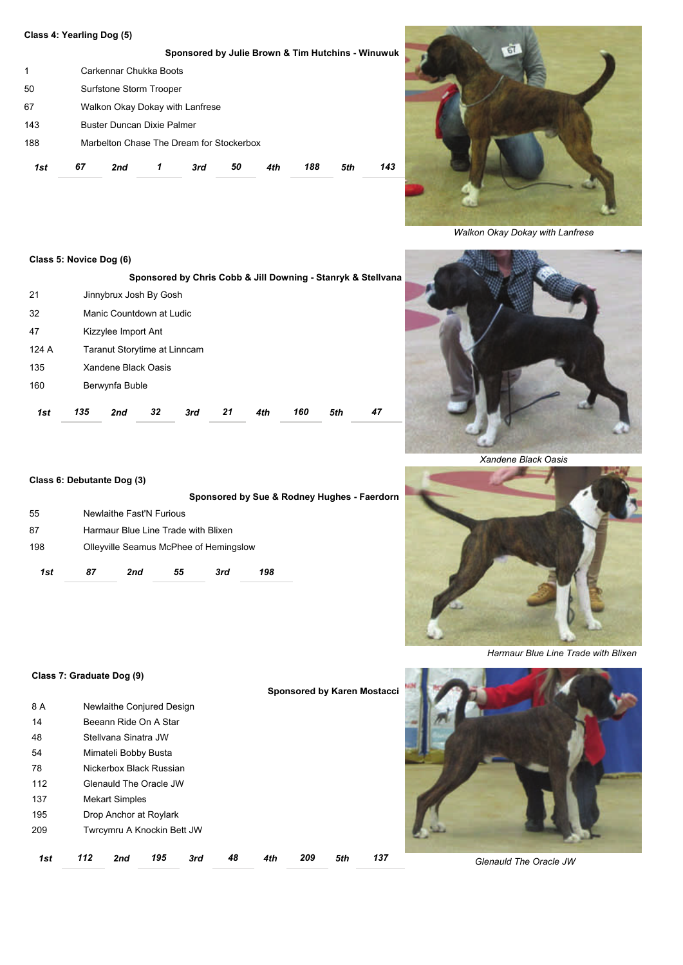### **Class 4: Yearling Dog (5)**

|     |    |                                          |   | Sponsored by Julie Brown & Tim Hutchins - Winuwuk |    |     |     |     |     |  |
|-----|----|------------------------------------------|---|---------------------------------------------------|----|-----|-----|-----|-----|--|
| 1   |    | Carkennar Chukka Boots                   |   |                                                   |    |     |     |     |     |  |
| 50  |    | Surfstone Storm Trooper                  |   |                                                   |    |     |     |     |     |  |
| 67  |    | Walkon Okay Dokay with Lanfrese          |   |                                                   |    |     |     |     |     |  |
| 143 |    | <b>Buster Duncan Dixie Palmer</b>        |   |                                                   |    |     |     |     |     |  |
| 188 |    | Marbelton Chase The Dream for Stockerbox |   |                                                   |    |     |     |     |     |  |
| 1st | 67 | 2nd                                      | 1 | 3rd                                               | 50 | 4th | 188 | 5th | 143 |  |



*Walkon Okay Dokay with Lanfrese*

## **Class 5: Novice Dog (6)**

|       |     |                              |    |     |    |     |     |     | Sponsored by Chris Cobb & Jill Downing - Stanryk & Stellvana |  |  |
|-------|-----|------------------------------|----|-----|----|-----|-----|-----|--------------------------------------------------------------|--|--|
| 21    |     | Jinnybrux Josh By Gosh       |    |     |    |     |     |     |                                                              |  |  |
| 32    |     | Manic Countdown at Ludic     |    |     |    |     |     |     |                                                              |  |  |
| 47    |     | Kizzylee Import Ant          |    |     |    |     |     |     |                                                              |  |  |
| 124 A |     | Taranut Storytime at Linncam |    |     |    |     |     |     |                                                              |  |  |
| 135   |     | Xandene Black Oasis          |    |     |    |     |     |     |                                                              |  |  |
| 160   |     | Berwynfa Buble               |    |     |    |     |     |     |                                                              |  |  |
| 1st   | 135 | 2nd                          | 32 | 3rd | 21 | 4th | 160 | 5th | 47                                                           |  |  |

## **Class 6: Debutante Dog (3)**

|     |    |                                        |    |     | Sponsored by Sue & Rodney Hughes - Faerdorn |
|-----|----|----------------------------------------|----|-----|---------------------------------------------|
| 55  |    | Newlaithe Fast'N Furious               |    |     |                                             |
| 87  |    | Harmaur Blue Line Trade with Blixen    |    |     |                                             |
| 198 |    | Olleyville Seamus McPhee of Hemingslow |    |     |                                             |
| 1st | 87 | 2nd                                    | 55 | 3rd | 198                                         |



*Xandene Black Oasis*



*Harmaur Blue Line Trade with Blixen*

### **Class 7: Graduate Dog (9)**

|     |     |                            |     |     |    |     |     |     | <b>Sponsored by Karen Mostacci</b> |  |
|-----|-----|----------------------------|-----|-----|----|-----|-----|-----|------------------------------------|--|
| 8 A |     | Newlaithe Conjured Design  |     |     |    |     |     |     |                                    |  |
| 14  |     | Beeann Ride On A Star      |     |     |    |     |     |     |                                    |  |
| 48  |     | Stellvana Sinatra JW       |     |     |    |     |     |     |                                    |  |
| 54  |     | Mimateli Bobby Busta       |     |     |    |     |     |     |                                    |  |
| 78  |     | Nickerbox Black Russian    |     |     |    |     |     |     |                                    |  |
| 112 |     | Glenauld The Oracle JW     |     |     |    |     |     |     |                                    |  |
| 137 |     | <b>Mekart Simples</b>      |     |     |    |     |     |     |                                    |  |
| 195 |     | Drop Anchor at Roylark     |     |     |    |     |     |     |                                    |  |
| 209 |     | Twrcymru A Knockin Bett JW |     |     |    |     |     |     |                                    |  |
| 1st | 112 | 2nd                        | 195 | 3rd | 48 | 4th | 209 | 5th | 137                                |  |
|     |     |                            |     |     |    |     |     |     |                                    |  |



*Glenauld The Oracle JW*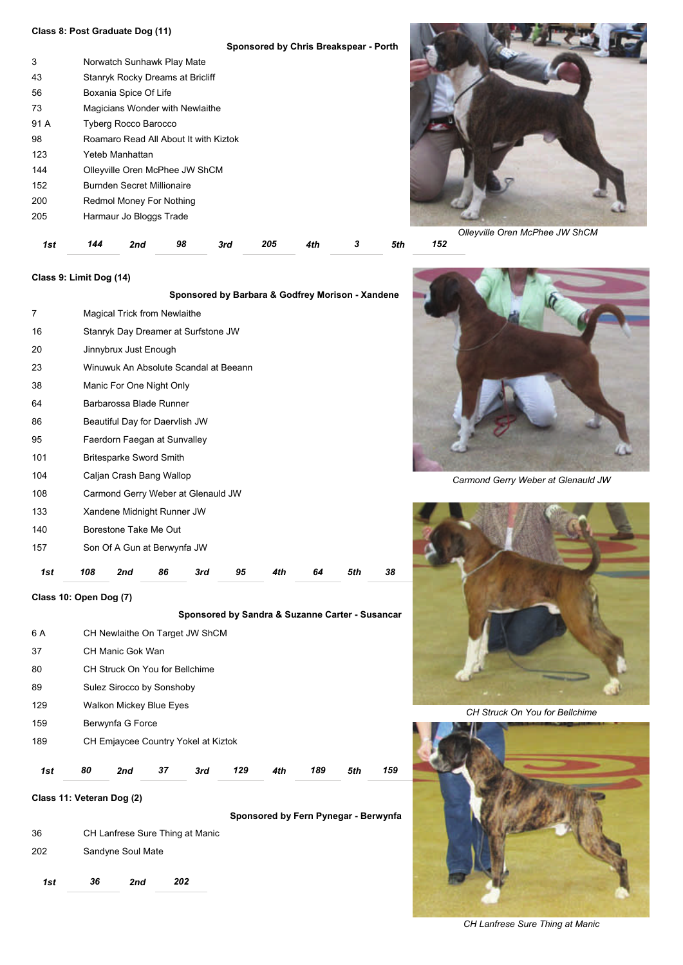### **Class 8: Post Graduate Dog (11)**

|      | Sponsored by Chris Breakspear - Porth |
|------|---------------------------------------|
| 3    | Norwatch Sunhawk Play Mate            |
| 43   | Stanryk Rocky Dreams at Bricliff      |
| 56   | Boxania Spice Of Life                 |
| 73   | Magicians Wonder with Newlaithe       |
| 91 A | <b>Tyberg Rocco Barocco</b>           |
| 98   | Roamaro Read All About It with Kiztok |
| 123  | Yeteb Manhattan                       |
| 144  | Olleyville Oren McPhee JW ShCM        |
| 152  | Burnden Secret Millionaire            |
| 200  | Redmol Money For Nothing              |
| 205  | Harmaur Jo Bloggs Trade               |
|      |                                       |

**Sponsored by Barbara & Godfrey Morison - Xandene** 

*1st 144 2nd 98 3rd 205 4th 3 5th 152* 



*Olleyville Oren McPhee JW ShCM*

## **Class 9: Limit Dog (14)**

| 1st | 108 | 2nd                                   | 86 | 3rd | 95 | 4th | 64 | 5th | 38 |
|-----|-----|---------------------------------------|----|-----|----|-----|----|-----|----|
| 157 |     | Son Of A Gun at Berwynfa JW           |    |     |    |     |    |     |    |
| 140 |     | Borestone Take Me Out                 |    |     |    |     |    |     |    |
| 133 |     | Xandene Midnight Runner JW            |    |     |    |     |    |     |    |
| 108 |     | Carmond Gerry Weber at Glenauld JW    |    |     |    |     |    |     |    |
| 104 |     | Caljan Crash Bang Wallop              |    |     |    |     |    |     |    |
| 101 |     | <b>Britesparke Sword Smith</b>        |    |     |    |     |    |     |    |
| 95  |     | Faerdorn Faegan at Sunvalley          |    |     |    |     |    |     |    |
| 86  |     | Beautiful Day for Daervlish JW        |    |     |    |     |    |     |    |
| 64  |     | Barbarossa Blade Runner               |    |     |    |     |    |     |    |
| 38  |     | Manic For One Night Only              |    |     |    |     |    |     |    |
| 23  |     | Winuwuk An Absolute Scandal at Beeann |    |     |    |     |    |     |    |
| 20  |     | Jinnybrux Just Enough                 |    |     |    |     |    |     |    |
| 16  |     | Stanryk Day Dreamer at Surfstone JW   |    |     |    |     |    |     |    |
| 7   |     | Magical Trick from Newlaithe          |    |     |    |     |    |     |    |

**Class 10: Open Dog (7)**

|     |    |                                     |    | Sponsored by Sandra & Suzanne Carter - Susancar |     |     |     |     |     |
|-----|----|-------------------------------------|----|-------------------------------------------------|-----|-----|-----|-----|-----|
| 6 A |    | CH Newlaithe On Target JW ShCM      |    |                                                 |     |     |     |     |     |
| 37  |    | CH Manic Gok Wan                    |    |                                                 |     |     |     |     |     |
| 80  |    | CH Struck On You for Bellchime      |    |                                                 |     |     |     |     |     |
| 89  |    | Sulez Sirocco by Sonshoby           |    |                                                 |     |     |     |     |     |
| 129 |    | <b>Walkon Mickey Blue Eyes</b>      |    |                                                 |     |     |     |     |     |
| 159 |    | Berwynfa G Force                    |    |                                                 |     |     |     |     |     |
| 189 |    | CH Emjaycee Country Yokel at Kiztok |    |                                                 |     |     |     |     |     |
| 1st | 80 | 2nd                                 | 37 | 3rd                                             | 129 | 4th | 189 | 5th | 159 |
|     |    |                                     |    |                                                 |     |     |     |     |     |

**Sponsored by Fern Pynegar - Berwynfa** 

**Class 11: Veteran Dog (2)**

 CH Lanfrese Sure Thing at Manic Sandyne Soul Mate *1st 36 2nd 202* 



*Carmond Gerry Weber at Glenauld JW*



*CH Struck On You for Bellchime*



*CH Lanfrese Sure Thing at Manic*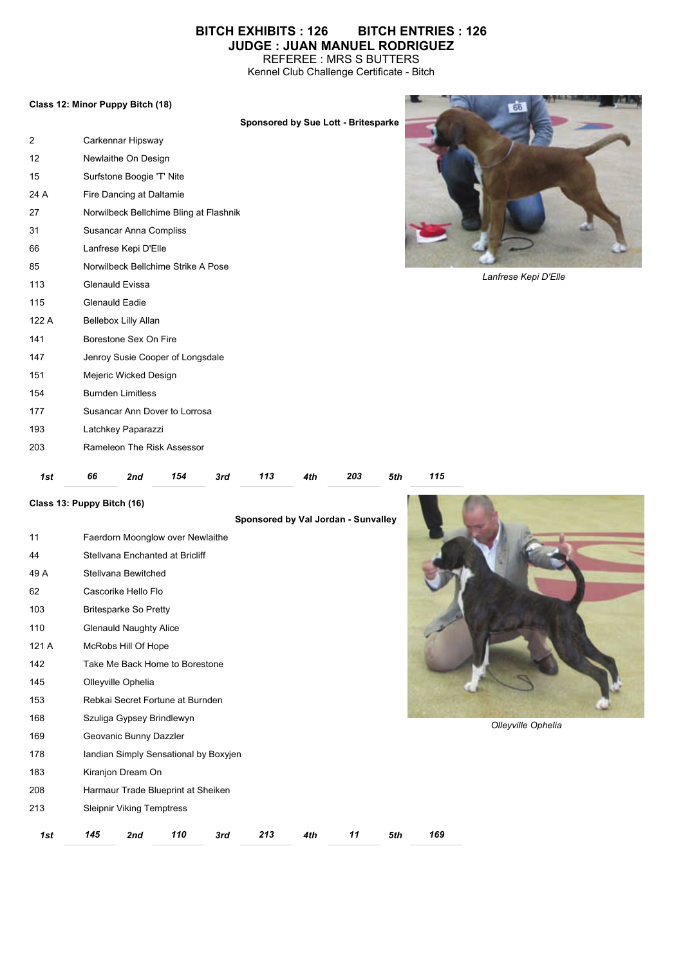# **BITCH EXHIBITS : 126 BITCH ENTRIES : 126 JUDGE : JUAN MANUEL RODRIGUEZ**

REFEREE : MRS S BUTTERS Kennel Club Challenge Certificate - Bitch

### **Class 12: Minor Puppy Bitch (18)**

|       | Sponsored by Sue Lott - Britesparke    |                      |
|-------|----------------------------------------|----------------------|
| 2     | Carkennar Hipsway                      |                      |
| 12    | Newlaithe On Design                    |                      |
| 15    | Surfstone Boogie 'T' Nite              |                      |
| 24 A  | Fire Dancing at Daltamie               |                      |
| 27    | Norwilbeck Bellchime Bling at Flashnik |                      |
| 31    | Susancar Anna Compliss                 |                      |
| 66    | Lanfrese Kepi D'Elle                   |                      |
| 85    | Norwilbeck Bellchime Strike A Pose     |                      |
| 113   | <b>Glenauld Evissa</b>                 | Lanfrese Kepi D'Elle |
| 115   | Glenauld Eadie                         |                      |
| 122 A | Bellebox Lilly Allan                   |                      |
| 141   | Borestone Sex On Fire                  |                      |
| 147   | Jenroy Susie Cooper of Longsdale       |                      |
| 151   | Mejeric Wicked Design                  |                      |
| 154   | <b>Burnden Limitless</b>               |                      |
| 177   | Susancar Ann Dover to Lorrosa          |                      |
| 193   | Latchkey Paparazzi                     |                      |
| 203   | Rameleon The Risk Assessor             |                      |
|       |                                        |                      |

I

| 1sı | 7nr | $-10$ | 3rd | ю<br>__ | __ | 203<br>__ | эτn | 15 |
|-----|-----|-------|-----|---------|----|-----------|-----|----|
|     |     |       |     |         |    |           |     |    |

**Class 13: Puppy Bitch (16)**

|       |     |                                  |                                       |     |     |     | Sponsored by Val Jordan - Sunvalley |     |     |
|-------|-----|----------------------------------|---------------------------------------|-----|-----|-----|-------------------------------------|-----|-----|
| 11    |     |                                  | Faerdorn Moonglow over Newlaithe      |     |     |     |                                     |     |     |
| 44    |     |                                  | Stellvana Enchanted at Bricliff       |     |     |     |                                     |     |     |
| 49 A  |     | Stellvana Bewitched              |                                       |     |     |     |                                     |     |     |
| 62    |     | Cascorike Hello Flo              |                                       |     |     |     |                                     |     |     |
| 103   |     | <b>Britesparke So Pretty</b>     |                                       |     |     |     |                                     |     |     |
| 110   |     | <b>Glenauld Naughty Alice</b>    |                                       |     |     |     |                                     |     |     |
| 121 A |     | McRobs Hill Of Hope              |                                       |     |     |     |                                     |     |     |
| 142   |     |                                  | Take Me Back Home to Borestone        |     |     |     |                                     |     |     |
| 145   |     | Olleyville Ophelia               |                                       |     |     |     |                                     |     |     |
| 153   |     |                                  | Rebkai Secret Fortune at Burnden      |     |     |     |                                     |     |     |
| 168   |     | Szuliga Gypsey Brindlewyn        |                                       |     |     |     |                                     |     |     |
| 169   |     | Geovanic Bunny Dazzler           |                                       |     |     |     |                                     |     |     |
| 178   |     |                                  | landian Simply Sensational by Boxyjen |     |     |     |                                     |     |     |
| 183   |     | Kiranjon Dream On                |                                       |     |     |     |                                     |     |     |
| 208   |     |                                  | Harmaur Trade Blueprint at Sheiken    |     |     |     |                                     |     |     |
| 213   |     | <b>Sleipnir Viking Temptress</b> |                                       |     |     |     |                                     |     |     |
| 1st   | 145 | 2nd                              | 110                                   | 3rd | 213 | 4th | 11                                  | 5th | 169 |



*Olleyville Ophelia*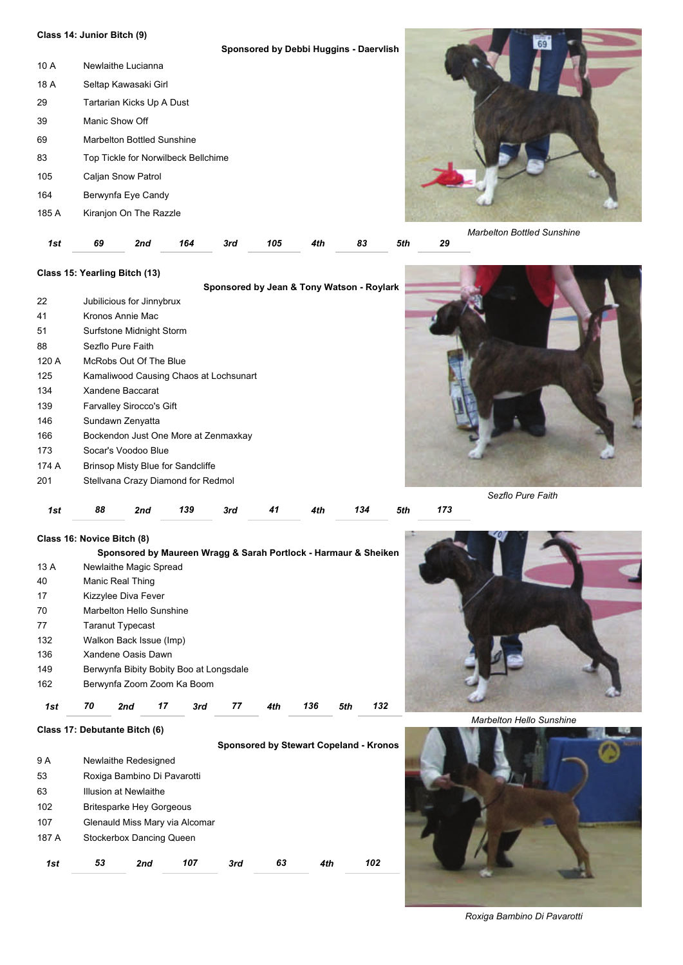# **Class 14: Junior Bitch (9)**

|       | Class 14: Junior Bitch (9) |                                     |     |     |     |                                        |    |     |    |                                   |
|-------|----------------------------|-------------------------------------|-----|-----|-----|----------------------------------------|----|-----|----|-----------------------------------|
|       |                            |                                     |     |     |     | Sponsored by Debbi Huggins - Daervlish |    |     |    |                                   |
| 10 A  |                            | Newlaithe Lucianna                  |     |     |     |                                        |    |     |    |                                   |
| 18 A  |                            | Seltap Kawasaki Girl                |     |     |     |                                        |    |     |    |                                   |
| 29    |                            | Tartarian Kicks Up A Dust           |     |     |     |                                        |    |     |    |                                   |
| 39    | Manic Show Off             |                                     |     |     |     |                                        |    |     |    |                                   |
| 69    |                            | Marbelton Bottled Sunshine          |     |     |     |                                        |    |     |    |                                   |
| 83    |                            | Top Tickle for Norwilbeck Bellchime |     |     |     |                                        |    |     |    |                                   |
| 105   |                            | Caljan Snow Patrol                  |     |     |     |                                        |    |     |    |                                   |
| 164   |                            | Berwynfa Eye Candy                  |     |     |     |                                        |    |     |    |                                   |
| 185 A |                            | Kiranjon On The Razzle              |     |     |     |                                        |    |     |    |                                   |
|       |                            |                                     |     |     |     |                                        |    |     |    | <b>Marbelton Bottled Sunshine</b> |
| 1st   | 69                         | 2nd                                 | 164 | 3rd | 105 | 4th                                    | 83 | 5th | 29 |                                   |

## **Class 15: Yearling Bitch (13)**

|       |                                        |                                          |     |     |    | Sponsored by Jean & Tony Watson - Roylark |     |     |                   |
|-------|----------------------------------------|------------------------------------------|-----|-----|----|-------------------------------------------|-----|-----|-------------------|
| 22    |                                        | Jubilicious for Jinnybrux                |     |     |    |                                           |     |     |                   |
| 41    |                                        | Kronos Annie Mac                         |     |     |    |                                           |     |     |                   |
| 51    |                                        | Surfstone Midnight Storm                 |     |     |    |                                           |     |     |                   |
| 88    |                                        | Sezflo Pure Faith                        |     |     |    |                                           |     |     |                   |
| 120 A |                                        | McRobs Out Of The Blue                   |     |     |    |                                           |     |     |                   |
| 125   | Kamaliwood Causing Chaos at Lochsunart |                                          |     |     |    |                                           |     |     |                   |
| 134   | Xandene Baccarat                       |                                          |     |     |    |                                           |     |     |                   |
| 139   | <b>Farvalley Sirocco's Gift</b>        |                                          |     |     |    |                                           |     |     |                   |
| 146   | Sundawn Zenyatta                       |                                          |     |     |    |                                           |     |     |                   |
| 166   |                                        | Bockendon Just One More at Zenmaxkay     |     |     |    |                                           |     |     |                   |
| 173   |                                        | Socar's Voodoo Blue                      |     |     |    |                                           |     |     |                   |
| 174 A |                                        | <b>Brinsop Misty Blue for Sandcliffe</b> |     |     |    |                                           |     |     |                   |
| 201   |                                        | Stellvana Crazy Diamond for Redmol       |     |     |    |                                           |     |     |                   |
|       |                                        |                                          |     |     |    |                                           |     |     | Sezflo Pure Faith |
| 1st   | 88                                     | 2nd                                      | 139 | 3rd | 41 | 4th                                       | 134 | 5th | 173               |

## **Class 16: Novice Bitch (8)**

**Class 17: Debutante Bitch (6)**

|      |                  |                                         |    |     |    |     |     |     | Sponsored by Maureen Wragg & Sarah Portlock - Harmaur & Sheiken |  |
|------|------------------|-----------------------------------------|----|-----|----|-----|-----|-----|-----------------------------------------------------------------|--|
| 13 A |                  | Newlaithe Magic Spread                  |    |     |    |     |     |     |                                                                 |  |
| 40   | Manic Real Thing |                                         |    |     |    |     |     |     |                                                                 |  |
| 17   |                  | Kizzylee Diva Fever                     |    |     |    |     |     |     |                                                                 |  |
| 70   |                  | Marbelton Hello Sunshine                |    |     |    |     |     |     |                                                                 |  |
| 77   |                  | Taranut Typecast                        |    |     |    |     |     |     |                                                                 |  |
| 132  |                  | Walkon Back Issue (Imp)                 |    |     |    |     |     |     |                                                                 |  |
| 136  |                  | Xandene Oasis Dawn                      |    |     |    |     |     |     |                                                                 |  |
| 149  |                  | Berwynfa Bibity Bobity Boo at Longsdale |    |     |    |     |     |     |                                                                 |  |
| 162  |                  | Berwynfa Zoom Zoom Ka Boom              |    |     |    |     |     |     |                                                                 |  |
| 1st  | 70               | 2nd                                     | 17 | 3rd | 77 | 4th | 136 | 5th | 132                                                             |  |



*Marbelton Hello Sunshine*

|       |                                 |     |     |     |    |     | Sponsored by Stewart Copeland - Kronos |
|-------|---------------------------------|-----|-----|-----|----|-----|----------------------------------------|
| 9 A   | Newlaithe Redesigned            |     |     |     |    |     |                                        |
| 53    | Roxiga Bambino Di Pavarotti     |     |     |     |    |     |                                        |
| 63    | Illusion at Newlaithe           |     |     |     |    |     |                                        |
| 102   | <b>Britesparke Hey Gorgeous</b> |     |     |     |    |     |                                        |
| 107   | Glenauld Miss Mary via Alcomar  |     |     |     |    |     |                                        |
| 187 A | Stockerbox Dancing Queen        |     |     |     |    |     |                                        |
| 1st   | 53                              | 2nd | 107 | 3rd | 63 | 4th | 102                                    |



*Roxiga Bambino Di Pavarotti*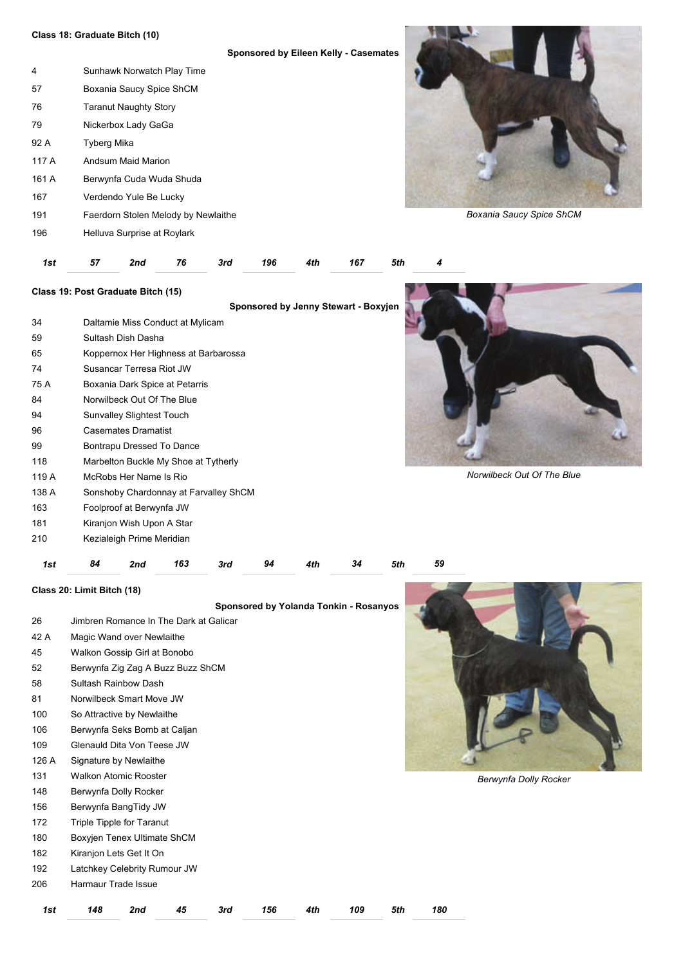#### **Class 18: Graduate Bitch (10)**

|       |                                     | Sponsored by Eileen Kelly - Casemates |
|-------|-------------------------------------|---------------------------------------|
| 4     | Sunhawk Norwatch Play Time          |                                       |
| 57    | Boxania Saucy Spice ShCM            |                                       |
| 76    | <b>Taranut Naughty Story</b>        |                                       |
| 79    | Nickerbox Lady GaGa                 |                                       |
| 92 A  | <b>Tyberg Mika</b>                  |                                       |
| 117 A | Andsum Maid Marion                  |                                       |
| 161 A | Berwynfa Cuda Wuda Shuda            |                                       |
| 167   | Verdendo Yule Be Lucky              |                                       |
| 191   | Faerdorn Stolen Melody by Newlaithe |                                       |
| 196   | Helluva Surprise at Roylark         |                                       |



*Boxania Saucy Spice ShCM*

| 1st 57 2nd 76 3rd 196 4th 167 5th 4 |  |  |  |  |  |  |  |  |  |  |
|-------------------------------------|--|--|--|--|--|--|--|--|--|--|
|-------------------------------------|--|--|--|--|--|--|--|--|--|--|

## **Class 19: Post Graduate Bitch (15)**

- Daltamie Miss Conduct at Mylicam
- Sultash Dish Dasha Koppernox Her Highness at Barbarossa Susancar Terresa Riot JW 75 A Boxania Dark Spice at Petarris Norwilbeck Out Of The Blue Sunvalley Slightest Touch Casemates Dramatist Bontrapu Dressed To Dance
- Marbelton Buckle My Shoe at Tytherly
- 119 A McRobs Her Name Is Rio
- 138 A Sonshoby Chardonnay at Farvalley ShCM
- Foolproof at Berwynfa JW
- 181 Kiranjon Wish Upon A Star
- Kezialeigh Prime Meridian

*1st 84 2nd 163 3rd 94 4th 34 5th 59* 

**Class 20: Limit Bitch (18)** 

**Sponsored by Yolanda Tonkin - Rosanyos** 

| 1st   | 148                        | 2nd                                    | 45 | 3rd | 156 | 4th | 109 | 5th | 180 |
|-------|----------------------------|----------------------------------------|----|-----|-----|-----|-----|-----|-----|
| 206   | Harmaur Trade Issue        |                                        |    |     |     |     |     |     |     |
| 192   |                            | Latchkey Celebrity Rumour JW           |    |     |     |     |     |     |     |
| 182   |                            | Kiranjon Lets Get It On                |    |     |     |     |     |     |     |
| 180   |                            | Boxyjen Tenex Ultimate ShCM            |    |     |     |     |     |     |     |
| 172   |                            | Triple Tipple for Taranut              |    |     |     |     |     |     |     |
| 156   |                            | Berwynfa BangTidy JW                   |    |     |     |     |     |     |     |
| 148   |                            | Berwynfa Dolly Rocker                  |    |     |     |     |     |     |     |
| 131   |                            | <b>Walkon Atomic Rooster</b>           |    |     |     |     |     |     |     |
| 126 A |                            | Signature by Newlaithe                 |    |     |     |     |     |     |     |
| 109   | Glenauld Dita Von Teese JW |                                        |    |     |     |     |     |     |     |
| 106   |                            | Berwynfa Seks Bomb at Caljan           |    |     |     |     |     |     |     |
| 100   |                            | So Attractive by Newlaithe             |    |     |     |     |     |     |     |
| 81    |                            | Norwilbeck Smart Move JW               |    |     |     |     |     |     |     |
| 58    |                            | Sultash Rainbow Dash                   |    |     |     |     |     |     |     |
| 52    |                            | Berwynfa Zig Zag A Buzz Buzz ShCM      |    |     |     |     |     |     |     |
| 45    |                            | Walkon Gossip Girl at Bonobo           |    |     |     |     |     |     |     |
| 42 A  |                            | Magic Wand over Newlaithe              |    |     |     |     |     |     |     |
| 26    |                            | Jimbren Romance In The Dark at Galicar |    |     |     |     |     |     |     |



*Berwynfa Dolly Rocker*

*Norwilbeck Out Of The Blue*